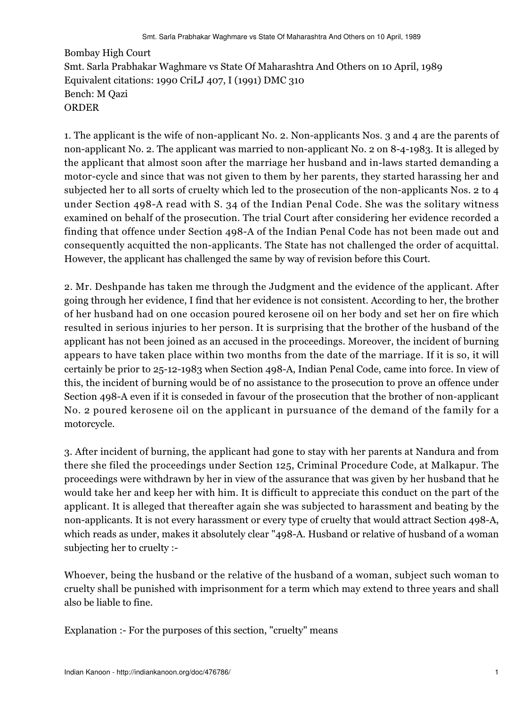Bombay High Court Smt. Sarla Prabhakar Waghmare vs State Of Maharashtra And Others on 10 April, 1989 Equivalent citations: 1990 CriLJ 407, I (1991) DMC 310 Bench: M Qazi ORDER

1. The applicant is the wife of non-applicant No. 2. Non-applicants Nos. 3 and 4 are the parents of non-applicant No. 2. The applicant was married to non-applicant No. 2 on 8-4-1983. It is alleged by the applicant that almost soon after the marriage her husband and in-laws started demanding a motor-cycle and since that was not given to them by her parents, they started harassing her and subjected her to all sorts of cruelty which led to the prosecution of the non-applicants Nos. 2 to 4 under Section 498-A read with S. 34 of the Indian Penal Code. She was the solitary witness examined on behalf of the prosecution. The trial Court after considering her evidence recorded a finding that offence under Section 498-A of the Indian Penal Code has not been made out and consequently acquitted the non-applicants. The State has not challenged the order of acquittal. However, the applicant has challenged the same by way of revision before this Court.

2. Mr. Deshpande has taken me through the Judgment and the evidence of the applicant. After going through her evidence, I find that her evidence is not consistent. According to her, the brother of her husband had on one occasion poured kerosene oil on her body and set her on fire which resulted in serious injuries to her person. It is surprising that the brother of the husband of the applicant has not been joined as an accused in the proceedings. Moreover, the incident of burning appears to have taken place within two months from the date of the marriage. If it is so, it will certainly be prior to 25-12-1983 when Section 498-A, Indian Penal Code, came into force. In view of this, the incident of burning would be of no assistance to the prosecution to prove an offence under Section 498-A even if it is conseded in favour of the prosecution that the brother of non-applicant No. 2 poured kerosene oil on the applicant in pursuance of the demand of the family for a motorcycle.

3. After incident of burning, the applicant had gone to stay with her parents at Nandura and from there she filed the proceedings under Section 125, Criminal Procedure Code, at Malkapur. The proceedings were withdrawn by her in view of the assurance that was given by her husband that he would take her and keep her with him. It is difficult to appreciate this conduct on the part of the applicant. It is alleged that thereafter again she was subjected to harassment and beating by the non-applicants. It is not every harassment or every type of cruelty that would attract Section 498-A, which reads as under, makes it absolutely clear "498-A. Husband or relative of husband of a woman subjecting her to cruelty :-

Whoever, being the husband or the relative of the husband of a woman, subject such woman to cruelty shall be punished with imprisonment for a term which may extend to three years and shall also be liable to fine.

Explanation :- For the purposes of this section, "cruelty" means